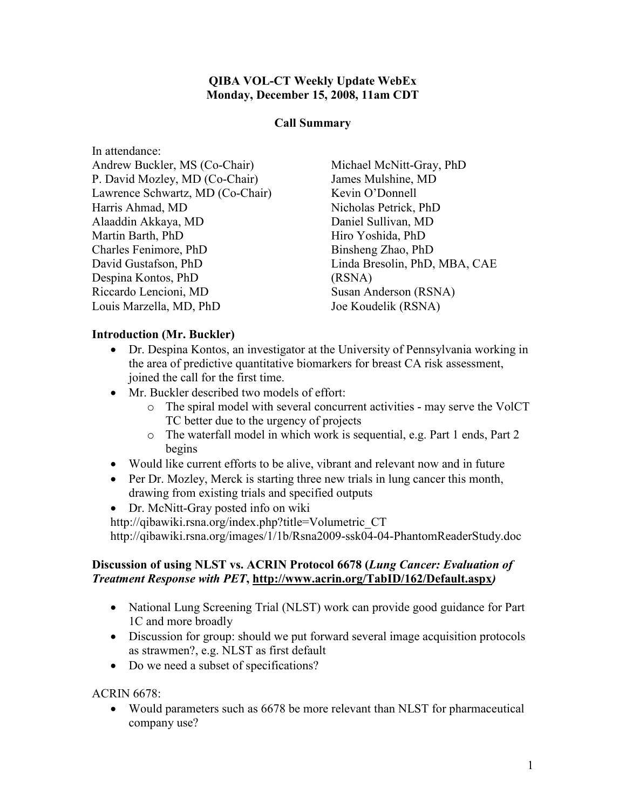### QIBA VOL-CT Weekly Update WebEx Monday, December 15, 2008, 11am CDT

#### Call Summary

| In attendance:                   |          |
|----------------------------------|----------|
| Andrew Buckler, MS (Co-Chair)    | Michae   |
| P. David Mozley, MD (Co-Chair)   | James N  |
| Lawrence Schwartz, MD (Co-Chair) | Kevin (  |
| Harris Ahmad, MD                 | Nichola  |
| Alaaddin Akkaya, MD              | Daniel : |
| Martin Barth, PhD                | Hiro Yo  |
| Charles Fenimore, PhD            | Binsher  |
| David Gustafson, PhD             | Linda B  |
| Despina Kontos, PhD              | (RSNA)   |
| Riccardo Lencioni, MD            | Susan A  |
| Louis Marzella, MD, PhD          | Joe Kou  |

 $el$  McNitt-Gray, PhD Mulshine, MD Y'Donnell us Petrick, PhD Sullivan, MD oshida, PhD ng Zhao, PhD Bresolin, PhD, MBA, CAE  $\Gamma$ Anderson (RSNA) delik (RSNA)

### Introduction (Mr. Buckler)

- Dr. Despina Kontos, an investigator at the University of Pennsylvania working in the area of predictive quantitative biomarkers for breast CA risk assessment, joined the call for the first time.
- Mr. Buckler described two models of effort:
	- o The spiral model with several concurrent activities may serve the VolCT TC better due to the urgency of projects
	- o The waterfall model in which work is sequential, e.g. Part 1 ends, Part 2 begins
- Would like current efforts to be alive, vibrant and relevant now and in future
- Per Dr. Mozley, Merck is starting three new trials in lung cancer this month, drawing from existing trials and specified outputs
- Dr. McNitt-Gray posted info on wiki

http://qibawiki.rsna.org/index.php?title=Volumetric\_CT http://qibawiki.rsna.org/images/1/1b/Rsna2009-ssk04-04-PhantomReaderStudy.doc

#### Discussion of using NLST vs. ACRIN Protocol 6678 (Lung Cancer: Evaluation of Treatment Response with PET, http://www.acrin.org/TabID/162/Default.aspx)

- National Lung Screening Trial (NLST) work can provide good guidance for Part 1C and more broadly
- Discussion for group: should we put forward several image acquisition protocols as strawmen?, e.g. NLST as first default
- Do we need a subset of specifications?

ACRIN 6678:

• Would parameters such as 6678 be more relevant than NLST for pharmaceutical company use?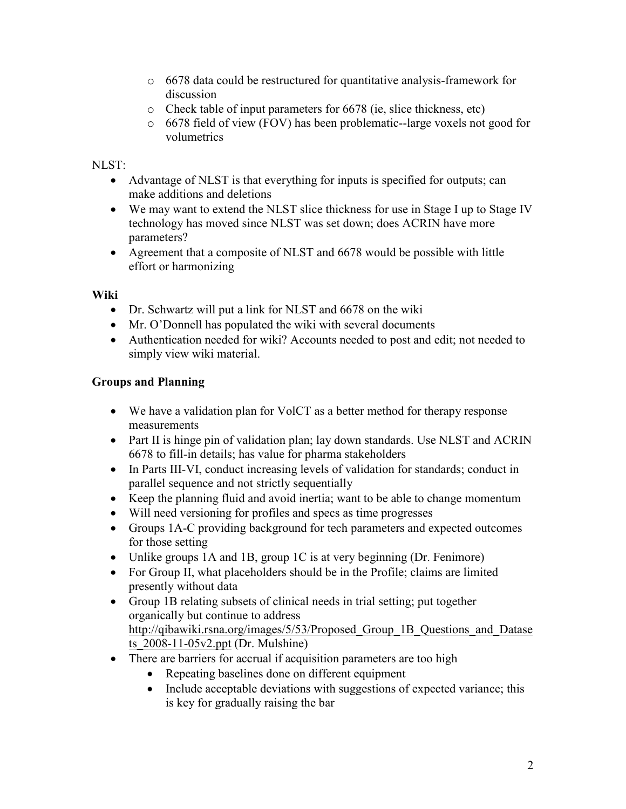- o 6678 data could be restructured for quantitative analysis-framework for discussion
- o Check table of input parameters for 6678 (ie, slice thickness, etc)
- o 6678 field of view (FOV) has been problematic--large voxels not good for volumetrics

## NLST:

- Advantage of NLST is that everything for inputs is specified for outputs; can make additions and deletions
- We may want to extend the NLST slice thickness for use in Stage I up to Stage IV technology has moved since NLST was set down; does ACRIN have more parameters?
- Agreement that a composite of NLST and 6678 would be possible with little effort or harmonizing

### Wiki

- Dr. Schwartz will put a link for NLST and 6678 on the wiki
- Mr. O'Donnell has populated the wiki with several documents
- Authentication needed for wiki? Accounts needed to post and edit; not needed to simply view wiki material.

# Groups and Planning

- We have a validation plan for VolCT as a better method for therapy response measurements
- Part II is hinge pin of validation plan; lay down standards. Use NLST and ACRIN 6678 to fill-in details; has value for pharma stakeholders
- In Parts III-VI, conduct increasing levels of validation for standards; conduct in parallel sequence and not strictly sequentially
- Keep the planning fluid and avoid inertia; want to be able to change momentum
- Will need versioning for profiles and specs as time progresses
- Groups 1A-C providing background for tech parameters and expected outcomes for those setting
- Unlike groups 1A and 1B, group 1C is at very beginning (Dr. Fenimore)
- For Group II, what placeholders should be in the Profile; claims are limited presently without data
- Group 1B relating subsets of clinical needs in trial setting; put together organically but continue to address http://qibawiki.rsna.org/images/5/53/Proposed Group 1B Questions and Datase ts\_2008-11-05v2.ppt (Dr. Mulshine)
- There are barriers for accrual if acquisition parameters are too high
	- Repeating baselines done on different equipment
	- Include acceptable deviations with suggestions of expected variance; this is key for gradually raising the bar